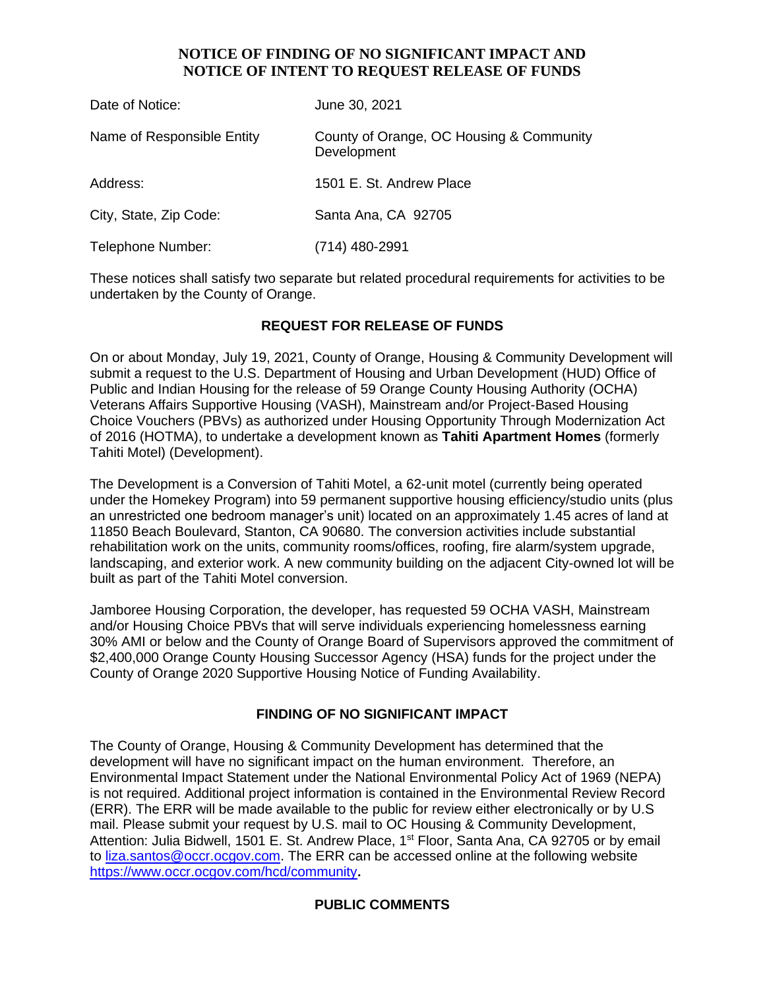#### **NOTICE OF FINDING OF NO SIGNIFICANT IMPACT AND NOTICE OF INTENT TO REQUEST RELEASE OF FUNDS**

| Date of Notice:            | June 30, 2021                                           |
|----------------------------|---------------------------------------------------------|
| Name of Responsible Entity | County of Orange, OC Housing & Community<br>Development |
| Address:                   | 1501 E. St. Andrew Place                                |
| City, State, Zip Code:     | Santa Ana, CA 92705                                     |
| Telephone Number:          | (714) 480-2991                                          |

These notices shall satisfy two separate but related procedural requirements for activities to be undertaken by the County of Orange.

### **REQUEST FOR RELEASE OF FUNDS**

On or about Monday, July 19, 2021, County of Orange, Housing & Community Development will submit a request to the U.S. Department of Housing and Urban Development (HUD) Office of Public and Indian Housing for the release of 59 Orange County Housing Authority (OCHA) Veterans Affairs Supportive Housing (VASH), Mainstream and/or Project-Based Housing Choice Vouchers (PBVs) as authorized under Housing Opportunity Through Modernization Act of 2016 (HOTMA), to undertake a development known as **Tahiti Apartment Homes** (formerly Tahiti Motel) (Development).

The Development is a Conversion of Tahiti Motel, a 62-unit motel (currently being operated under the Homekey Program) into 59 permanent supportive housing efficiency/studio units (plus an unrestricted one bedroom manager's unit) located on an approximately 1.45 acres of land at 11850 Beach Boulevard, Stanton, CA 90680. The conversion activities include substantial rehabilitation work on the units, community rooms/offices, roofing, fire alarm/system upgrade, landscaping, and exterior work. A new community building on the adjacent City-owned lot will be built as part of the Tahiti Motel conversion.

Jamboree Housing Corporation, the developer, has requested 59 OCHA VASH, Mainstream and/or Housing Choice PBVs that will serve individuals experiencing homelessness earning 30% AMI or below and the County of Orange Board of Supervisors approved the commitment of \$2,400,000 Orange County Housing Successor Agency (HSA) funds for the project under the County of Orange 2020 Supportive Housing Notice of Funding Availability.

#### **FINDING OF NO SIGNIFICANT IMPACT**

The County of Orange, Housing & Community Development has determined that the development will have no significant impact on the human environment. Therefore, an Environmental Impact Statement under the National Environmental Policy Act of 1969 (NEPA) is not required. Additional project information is contained in the Environmental Review Record (ERR). The ERR will be made available to the public for review either electronically or by U.S mail. Please submit your request by U.S. mail to OC Housing & Community Development, Attention: Julia Bidwell, 1501 E. St. Andrew Place, 1<sup>st</sup> Floor, Santa Ana, CA 92705 or by email to [liza.santos@occr.ocgov.com.](mailto:liza.santos@occr.ocgov.com) The ERR can be accessed online at the following website https://www.occr.ocgov.com/hcd/community**.**

#### **PUBLIC COMMENTS**